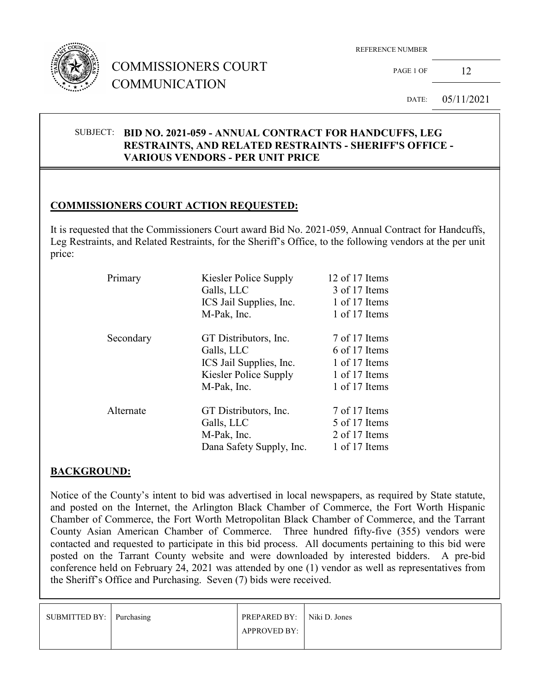

# COMMISSIONERS COURT COMMUNICATION

REFERENCE NUMBER

PAGE 1 OF  $12$ 

DATE: 05/11/2021

#### SUBJECT: **BID NO. 2021-059 - ANNUAL CONTRACT FOR HANDCUFFS, LEG RESTRAINTS, AND RELATED RESTRAINTS - SHERIFF'S OFFICE - VARIOUS VENDORS - PER UNIT PRICE**

## **COMMISSIONERS COURT ACTION REQUESTED:**

It is requested that the Commissioners Court award Bid No. 2021-059, Annual Contract for Handcuffs, Leg Restraints, and Related Restraints, for the Sheriff's Office, to the following vendors at the per unit price:

| Primary   | Kiesler Police Supply<br>Galls, LLC<br>ICS Jail Supplies, Inc.<br>M-Pak, Inc.                          | 12 of 17 Items<br>3 of 17 Items<br>1 of 17 Items<br>1 of 17 Items                 |
|-----------|--------------------------------------------------------------------------------------------------------|-----------------------------------------------------------------------------------|
| Secondary | GT Distributors, Inc.<br>Galls, LLC<br>ICS Jail Supplies, Inc.<br>Kiesler Police Supply<br>M-Pak, Inc. | 7 of 17 Items<br>6 of 17 Items<br>1 of 17 Items<br>1 of 17 Items<br>1 of 17 Items |
| Alternate | GT Distributors, Inc.<br>Galls, LLC<br>M-Pak, Inc.<br>Dana Safety Supply, Inc.                         | 7 of 17 Items<br>5 of 17 Items<br>2 of 17 Items<br>1 of 17 Items                  |

## **BACKGROUND:**

Notice of the County's intent to bid was advertised in local newspapers, as required by State statute, and posted on the Internet, the Arlington Black Chamber of Commerce, the Fort Worth Hispanic Chamber of Commerce, the Fort Worth Metropolitan Black Chamber of Commerce, and the Tarrant County Asian American Chamber of Commerce. Three hundred fifty-five (355) vendors were contacted and requested to participate in this bid process. All documents pertaining to this bid were posted on the Tarrant County website and were downloaded by interested bidders. A pre-bid conference held on February 24, 2021 was attended by one (1) vendor as well as representatives from the Sheriff's Office and Purchasing. Seven (7) bids were received.

| SUBMITTED BY: Purchasing | <b>PREPARED BY:</b> Niki D. Jones |  |
|--------------------------|-----------------------------------|--|
|                          | <b>APPROVED BY:</b>               |  |